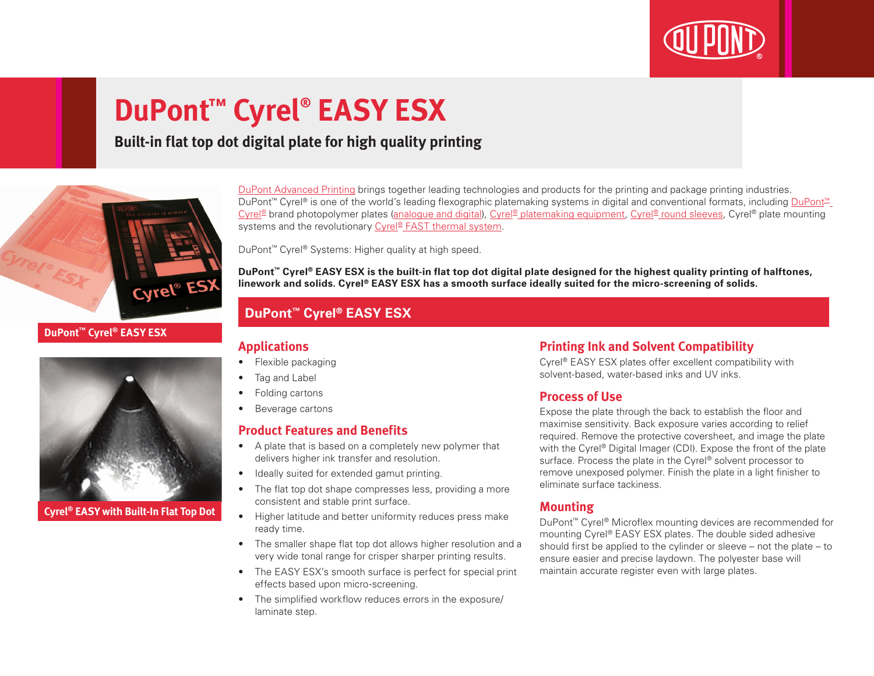

# **DuPont™ Cyrel® EASY ESX**

### **Built-in flat top dot digital plate for high quality printing**



#### **DuPont™ Cyrel® EASY ESX**



**Cyrel® EASY with Built-In Flat Top Dot**

[DuPont Advanced Printing](http://www.dupont.co.uk/products-and-services/printing-package-printing.html) brings together leading technologies and products for the printing and package printing industries. DuPont<sup>™</sup> Cyrel® is one of the world's leading flexographic platemaking systems in digital and conventional formats, including DuPont<sup>™</sup> [Cyrel®](http://www.dupont.co.uk/products-and-services/printing-package-printing/flexographic-platemaking-systems/brands/cyrel.html) brand photopolymer plates ([analogue and digital](http://www.dupont.co.uk/products-and-services/printing-package-printing/flexographic-platemaking-systems/brands/cyrel/products/cyrel-flexo-plates.html)), [Cyrel® platemaking equipment](http://www.dupont.co.uk/products-and-services/printing-package-printing/flexographic-platemaking-systems/brands/cyrel/products/cyrel-platemaking-equipment.html), [Cyrel® round sleeves](http://www.dupont.co.uk/products-and-services/printing-package-printing/flexographic-platemaking-systems/brands/cyrel/products/cyrel-round-systems.html), Cyrel® plate mounting systems and the revolutionary [Cyrel® FAST thermal system](http://www.dupont.co.uk/products-and-services/printing-package-printing/flexographic-platemaking-systems/brands/cyrel/products/cyrel-FAST-thermal-workflow.html).

DuPont™ Cyrel® Systems: Higher quality at high speed.

**DuPont™ Cyrel® EASY ESX is the built-in flat top dot digital plate designed for the highest quality printing of halftones, linework and solids. Cyrel® EASY ESX has a smooth surface ideally suited for the micro-screening of solids.**

#### **DuPont™ Cyrel® EASY ESX**

#### **Applications**

- Flexible packaging
- Tag and Label
- Folding cartons
- Beverage cartons

#### **Product Features and Benefits**

- A plate that is based on a completely new polymer that delivers higher ink transfer and resolution.
- Ideally suited for extended gamut printing.
- The flat top dot shape compresses less, providing a more consistent and stable print surface.
- Higher latitude and better uniformity reduces press make ready time.
- The smaller shape flat top dot allows higher resolution and a very wide tonal range for crisper sharper printing results.
- The EASY ESX's smooth surface is perfect for special print effects based upon micro-screening.
- The simplified workflow reduces errors in the exposure/ laminate step.

#### **Printing Ink and Solvent Compatibility**

Cyrel® EASY ESX plates offer excellent compatibility with solvent-based, water-based inks and UV inks.

#### **Process of Use**

Expose the plate through the back to establish the floor and maximise sensitivity. Back exposure varies according to relief required. Remove the protective coversheet, and image the plate with the Cyrel® Digital Imager (CDI). Expose the front of the plate surface. Process the plate in the Cyrel® solvent processor to remove unexposed polymer. Finish the plate in a light finisher to eliminate surface tackiness.

#### **Mounting**

DuPont™ Cyrel® Microflex mounting devices are recommended for mounting Cyrel® EASY ESX plates. The double sided adhesive should first be applied to the cylinder or sleeve – not the plate – to ensure easier and precise laydown. The polyester base will maintain accurate register even with large plates.